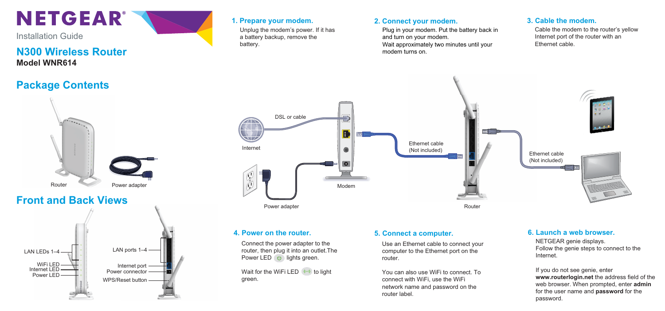

Installation Guide

## **N300 Wireless Router Model WNR614**

## **Package Contents**





Unplug the modem's power. If it has a battery backup, remove the battery.

### **1. Prepare your modem. 2. Connect your modem. 3. Cable the modem.**

Plug in your modem. Put the battery back in and turn on your modem. Wait approximately two minutes until your modem turns on.

Cable the modem to the router's yellow Internet port of the router with an Ethernet cable.



Connect the power adapter to the router, then plug it into an outlet.The Power LED (b) lights green.

Wait for the WiFi LED  $(\cdot)$  to light green.

Use an Ethernet cable to connect your computer to the Ethernet port on the router.

You can also use WiFi to connect. To connect with WiFi, use the WiFi network name and password on the router label.

### **4. Power on the router. 5. Connect a computer. 6. Launch a web browser.**

NETGEAR genie displays. Follow the genie steps to connect to the Internet.

If you do not see genie, enter **www.routerlogin.net** the address field of the web browser. When prompted, enter **admin** for the user name and **password** for the password.